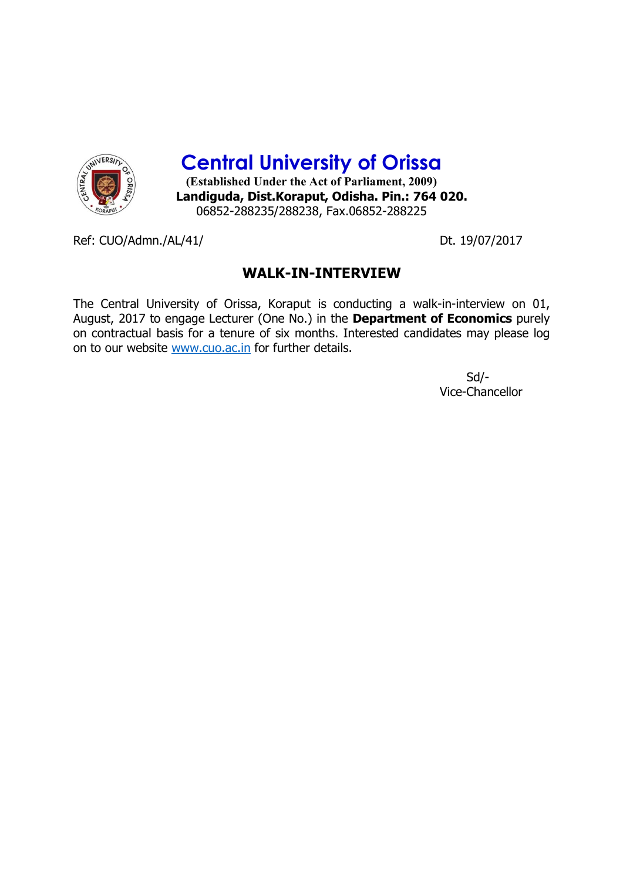

**Central University of Orissa**

**(Established Under the Act of Parliament, 2009) Landiguda, Dist.Koraput, Odisha. Pin.: 764 020.** 06852-288235/288238, Fax.06852-288225

Ref: CUO/Admn./AL/41/ Dt. 19/07/2017

## **WALK-IN-INTERVIEW**

The Central University of Orissa, Koraput is conducting a walk-in-interview on 01, August, 2017 to engage Lecturer (One No.) in the **Department of Economics** purely on contractual basis for a tenure of six months. Interested candidates may please log on to our website www.cuo.ac.in for further details.

> Sd/- Vice-Chancellor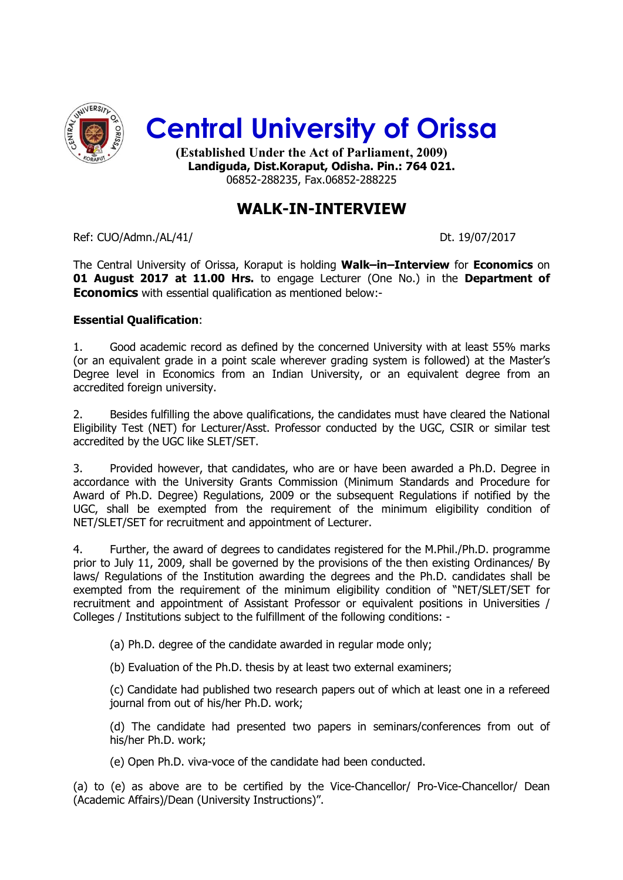

06852-288235, Fax.06852-288225

# **WALK-IN-INTERVIEW**

Ref: CUO/Admn./AL/41/ Dt. 19/07/2017

The Central University of Orissa, Koraput is holding **Walk–in–Interview** for **Economics** on **01 August 2017 at 11.00 Hrs.** to engage Lecturer (One No.) in the **Department of Economics** with essential qualification as mentioned below:-

## **Essential Qualification**:

1. Good academic record as defined by the concerned University with at least 55% marks (or an equivalent grade in a point scale wherever grading system is followed) at the Master's Degree level in Economics from an Indian University, or an equivalent degree from an accredited foreign university.

2. Besides fulfilling the above qualifications, the candidates must have cleared the National Eligibility Test (NET) for Lecturer/Asst. Professor conducted by the UGC, CSIR or similar test accredited by the UGC like SLET/SET.

3. Provided however, that candidates, who are or have been awarded a Ph.D. Degree in accordance with the University Grants Commission (Minimum Standards and Procedure for Award of Ph.D. Degree) Regulations, 2009 or the subsequent Regulations if notified by the UGC, shall be exempted from the requirement of the minimum eligibility condition of NET/SLET/SET for recruitment and appointment of Lecturer.

4. Further, the award of degrees to candidates registered for the M.Phil./Ph.D. programme prior to July 11, 2009, shall be governed by the provisions of the then existing Ordinances/ By laws/ Regulations of the Institution awarding the degrees and the Ph.D. candidates shall be exempted from the requirement of the minimum eligibility condition of "NET/SLET/SET for recruitment and appointment of Assistant Professor or equivalent positions in Universities / Colleges / Institutions subject to the fulfillment of the following conditions: -

(a) Ph.D. degree of the candidate awarded in regular mode only;

(b) Evaluation of the Ph.D. thesis by at least two external examiners;

(c) Candidate had published two research papers out of which at least one in a refereed journal from out of his/her Ph.D. work;

(d) The candidate had presented two papers in seminars/conferences from out of his/her Ph.D. work;

(e) Open Ph.D. viva-voce of the candidate had been conducted.

(a) to (e) as above are to be certified by the Vice-Chancellor/ Pro-Vice-Chancellor/ Dean (Academic Affairs)/Dean (University Instructions)".